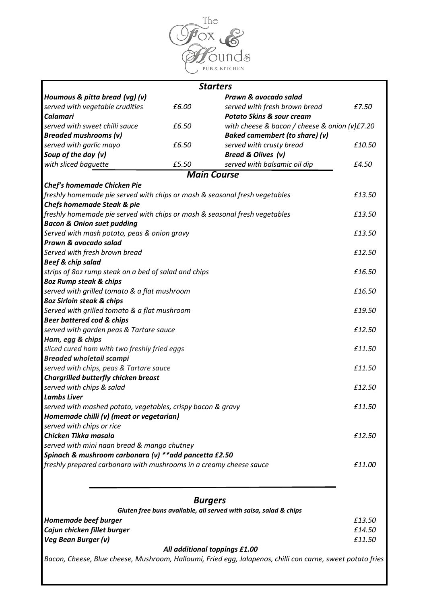

|                                                                            |       | <b>Starters</b>                                                                                            |        |
|----------------------------------------------------------------------------|-------|------------------------------------------------------------------------------------------------------------|--------|
| Houmous & pitta bread (vg) (v)                                             |       | Prawn & avocado salad                                                                                      |        |
| served with vegetable crudities                                            | £6.00 | served with fresh brown bread                                                                              | £7.50  |
| <b>Calamari</b>                                                            |       | <b>Potato Skins &amp; sour cream</b>                                                                       |        |
| served with sweet chilli sauce                                             | £6.50 | with cheese & bacon / cheese & onion (v)£7.20                                                              |        |
| <b>Breaded mushrooms (v)</b>                                               |       | Baked camembert (to share) (v)                                                                             |        |
| served with garlic mayo                                                    | £6.50 | served with crusty bread                                                                                   | £10.50 |
| Soup of the day (v)                                                        |       | Bread & Olives (v)                                                                                         |        |
| with sliced baguette                                                       | £5.50 | served with balsamic oil dip                                                                               | £4.50  |
|                                                                            |       | <b>Main Course</b>                                                                                         |        |
| Chef's homemade Chicken Pie                                                |       |                                                                                                            |        |
| freshly homemade pie served with chips or mash & seasonal fresh vegetables |       |                                                                                                            | £13.50 |
| <b>Chefs homemade Steak &amp; pie</b>                                      |       |                                                                                                            |        |
| freshly homemade pie served with chips or mash & seasonal fresh vegetables |       |                                                                                                            |        |
| <b>Bacon &amp; Onion suet pudding</b>                                      |       |                                                                                                            |        |
| Served with mash potato, peas & onion gravy                                |       |                                                                                                            |        |
| Prawn & avocado salad                                                      |       |                                                                                                            |        |
| Served with fresh brown bread                                              |       |                                                                                                            | £12.50 |
| <b>Beef &amp; chip salad</b>                                               |       |                                                                                                            |        |
| strips of 8oz rump steak on a bed of salad and chips                       |       |                                                                                                            | £16.50 |
| 80z Rump steak & chips                                                     |       |                                                                                                            |        |
| served with grilled tomato & a flat mushroom                               |       |                                                                                                            | £16.50 |
| 80z Sirloin steak & chips                                                  |       |                                                                                                            |        |
| Served with grilled tomato & a flat mushroom                               |       |                                                                                                            | £19.50 |
| <b>Beer battered cod &amp; chips</b>                                       |       |                                                                                                            |        |
| served with garden peas & Tartare sauce                                    |       |                                                                                                            | £12.50 |
| Ham, egg & chips                                                           |       |                                                                                                            |        |
| sliced cured ham with two freshly fried eggs                               |       |                                                                                                            | £11.50 |
| <b>Breaded wholetail scampi</b>                                            |       |                                                                                                            |        |
| served with chips, peas & Tartare sauce                                    |       |                                                                                                            | £11.50 |
| <b>Chargrilled butterfly chicken breast</b>                                |       |                                                                                                            |        |
| served with chips & salad                                                  |       |                                                                                                            | £12.50 |
| <b>Lambs Liver</b>                                                         |       |                                                                                                            |        |
| served with mashed potato, vegetables, crispy bacon & gravy                |       |                                                                                                            | £11.50 |
| Homemade chilli (v) (meat or vegetarian)                                   |       |                                                                                                            |        |
| served with chips or rice                                                  |       |                                                                                                            |        |
| Chicken Tikka masala                                                       |       |                                                                                                            | £12.50 |
| served with mini naan bread & mango chutney                                |       |                                                                                                            |        |
| Spinach & mushroom carbonara (v) ** add pancetta £2.50                     |       |                                                                                                            |        |
| freshly prepared carbonara with mushrooms in a creamy cheese sauce         |       |                                                                                                            | £11.00 |
|                                                                            |       |                                                                                                            |        |
|                                                                            |       |                                                                                                            |        |
|                                                                            |       | <b>Burgers</b>                                                                                             |        |
|                                                                            |       | Gluten free buns available, all served with salsa, salad & chips                                           |        |
| Homemade beef burger                                                       |       |                                                                                                            | £13.50 |
| Cajun chicken fillet burger                                                |       |                                                                                                            | £14.50 |
| Veg Bean Burger (v)                                                        |       |                                                                                                            | £11.50 |
|                                                                            |       | All additional toppings £1.00                                                                              |        |
|                                                                            |       | Bacon, Cheese, Blue cheese, Mushroom, Halloumi, Fried egg, Jalapenos, chilli con carne, sweet potato fries |        |